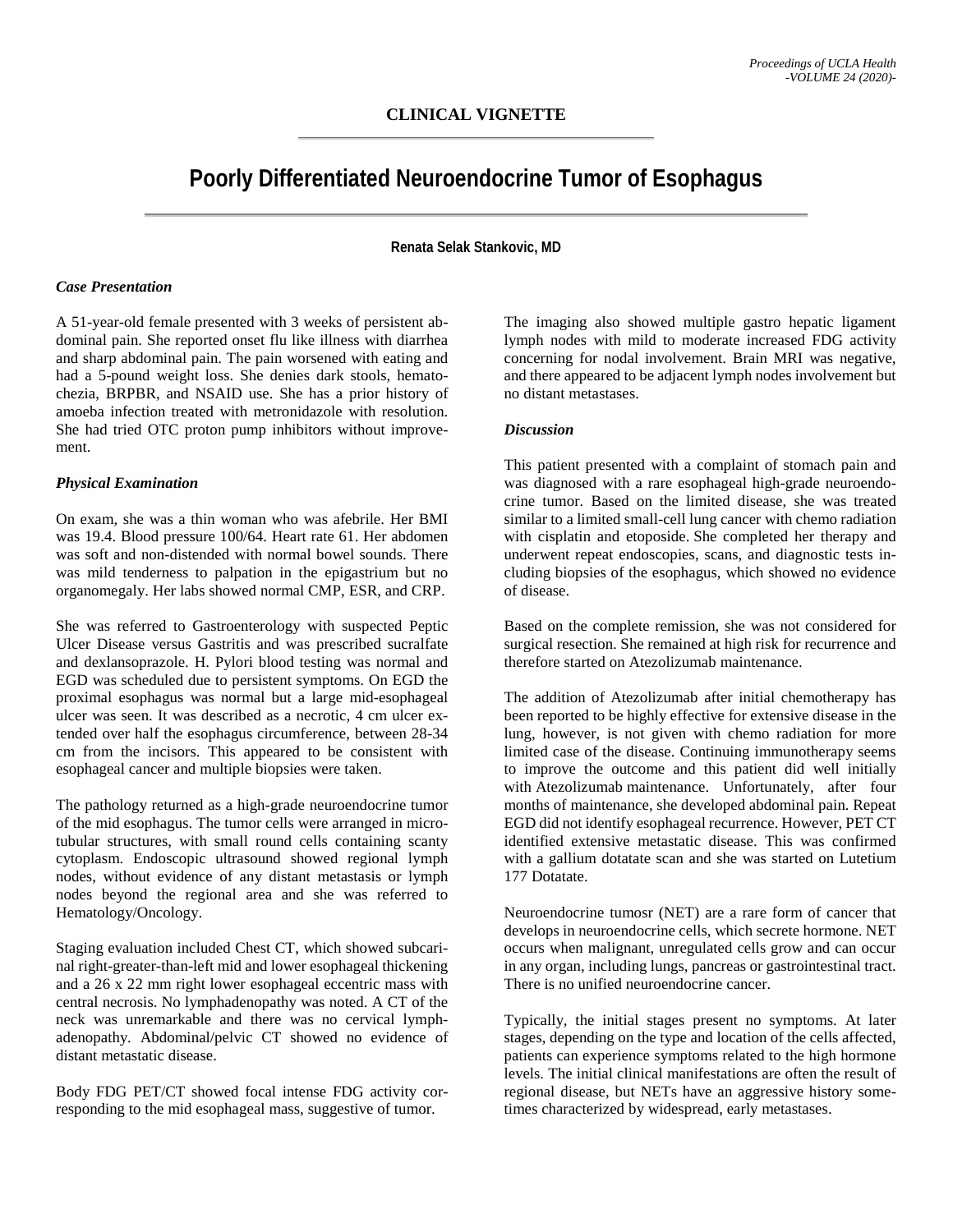# **Poorly Differentiated Neuroendocrine Tumor of Esophagus**

**Renata Selak Stankovic, MD**

#### *Case Presentation*

A 51-year-old female presented with 3 weeks of persistent abdominal pain. She reported onset flu like illness with diarrhea and sharp abdominal pain. The pain worsened with eating and had a 5-pound weight loss. She denies dark stools, hematochezia, BRPBR, and NSAID use. She has a prior history of amoeba infection treated with metronidazole with resolution. She had tried OTC proton pump inhibitors without improvement.

#### *Physical Examination*

On exam, she was a thin woman who was afebrile. Her BMI was 19.4. Blood pressure 100/64. Heart rate 61. Her abdomen was soft and non-distended with normal bowel sounds. There was mild tenderness to palpation in the epigastrium but no organomegaly. Her labs showed normal CMP, ESR, and CRP.

She was referred to Gastroenterology with suspected Peptic Ulcer Disease versus Gastritis and was prescribed sucralfate and dexlansoprazole. H. Pylori blood testing was normal and EGD was scheduled due to persistent symptoms. On EGD the proximal esophagus was normal but a large mid-esophageal ulcer was seen. It was described as a necrotic, 4 cm ulcer extended over half the esophagus circumference, between 28-34 cm from the incisors. This appeared to be consistent with esophageal cancer and multiple biopsies were taken.

The pathology returned as a high-grade neuroendocrine tumor of the mid esophagus. The tumor cells were arranged in microtubular structures, with small round cells containing scanty cytoplasm. Endoscopic ultrasound showed regional lymph nodes, without evidence of any distant metastasis or lymph nodes beyond the regional area and she was referred to Hematology/Oncology.

Staging evaluation included Chest CT, which showed subcarinal right-greater-than-left mid and lower esophageal thickening and a 26 x 22 mm right lower esophageal eccentric mass with central necrosis. No lymphadenopathy was noted. A CT of the neck was unremarkable and there was no cervical lymphadenopathy. Abdominal/pelvic CT showed no evidence of distant metastatic disease.

Body FDG PET/CT showed focal intense FDG activity corresponding to the mid esophageal mass, suggestive of tumor.

The imaging also showed multiple gastro hepatic ligament lymph nodes with mild to moderate increased FDG activity concerning for nodal involvement. Brain MRI was negative, and there appeared to be adjacent lymph nodes involvement but no distant metastases.

### *Discussion*

This patient presented with a complaint of stomach pain and was diagnosed with a rare esophageal high-grade neuroendocrine tumor. Based on the limited disease, she was treated similar to a limited small-cell lung cancer with chemo radiation with cisplatin and etoposide. She completed her therapy and underwent repeat endoscopies, scans, and diagnostic tests including biopsies of the esophagus, which showed no evidence of disease.

Based on the complete remission, she was not considered for surgical resection. She remained at high risk for recurrence and therefore started on Atezolizumab maintenance.

The addition of Atezolizumab after initial chemotherapy has been reported to be highly effective for extensive disease in the lung, however, is not given with chemo radiation for more limited case of the disease. Continuing immunotherapy seems to improve the outcome and this patient did well initially with Atezolizumab maintenance. Unfortunately, after four months of maintenance, she developed abdominal pain. Repeat EGD did not identify esophageal recurrence. However, PET CT identified extensive metastatic disease. This was confirmed with a gallium dotatate scan and she was started on Lutetium 177 Dotatate.

Neuroendocrine tumosr (NET) are a rare form of cancer that develops in neuroendocrine cells, which secrete hormone. NET occurs when malignant, unregulated cells grow and can occur in any organ, including lungs, pancreas or gastrointestinal tract. There is no unified neuroendocrine cancer.

Typically, the initial stages present no symptoms. At later stages, depending on the type and location of the cells affected, patients can experience symptoms related to the high hormone levels. The initial clinical manifestations are often the result of regional disease, but NETs have an aggressive history sometimes characterized by widespread, early metastases.